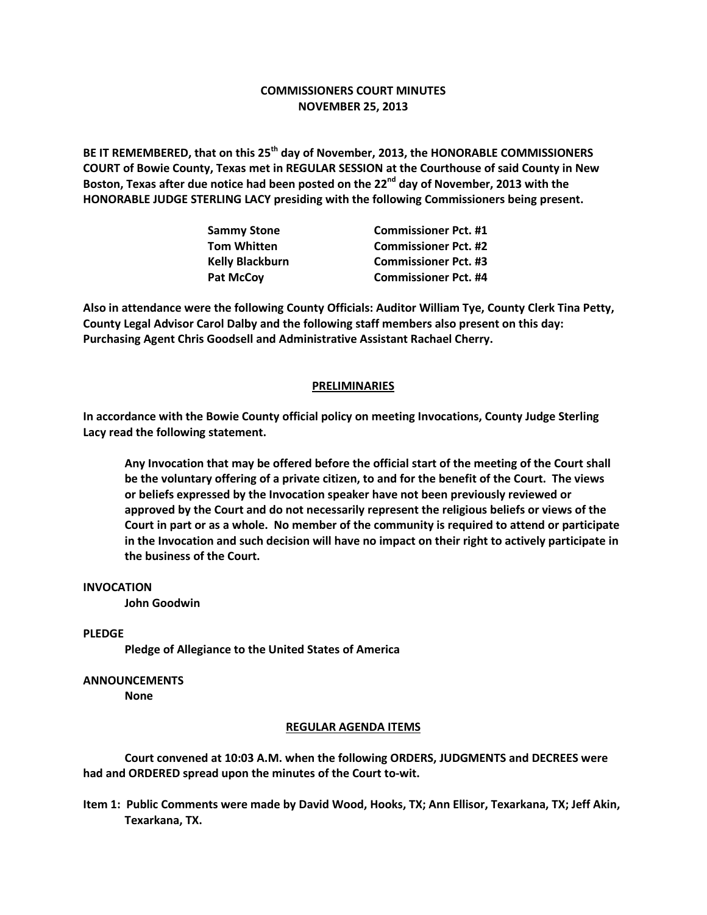# **COMMISSIONERS COURT MINUTES NOVEMBER 25, 2013**

**BE IT REMEMBERED, that on this 25th day of November, 2013, the HONORABLE COMMISSIONERS COURT of Bowie County, Texas met in REGULAR SESSION at the Courthouse of said County in New Boston, Texas after due notice had been posted on the 22nd day of November, 2013 with the HONORABLE JUDGE STERLING LACY presiding with the following Commissioners being present.**

| <b>Sammy Stone</b>     | <b>Commissioner Pct. #1</b> |
|------------------------|-----------------------------|
| <b>Tom Whitten</b>     | <b>Commissioner Pct. #2</b> |
| <b>Kelly Blackburn</b> | <b>Commissioner Pct. #3</b> |
| <b>Pat McCov</b>       | <b>Commissioner Pct. #4</b> |

**Also in attendance were the following County Officials: Auditor William Tye, County Clerk Tina Petty, County Legal Advisor Carol Dalby and the following staff members also present on this day: Purchasing Agent Chris Goodsell and Administrative Assistant Rachael Cherry.**

### **PRELIMINARIES**

**In accordance with the Bowie County official policy on meeting Invocations, County Judge Sterling Lacy read the following statement.**

**Any Invocation that may be offered before the official start of the meeting of the Court shall be the voluntary offering of a private citizen, to and for the benefit of the Court. The views or beliefs expressed by the Invocation speaker have not been previously reviewed or approved by the Court and do not necessarily represent the religious beliefs or views of the Court in part or as a whole. No member of the community is required to attend or participate in the Invocation and such decision will have no impact on their right to actively participate in the business of the Court.**

### **INVOCATION**

**John Goodwin**

## **PLEDGE**

**Pledge of Allegiance to the United States of America**

#### **ANNOUNCEMENTS**

**None**

#### **REGULAR AGENDA ITEMS**

**Court convened at 10:03 A.M. when the following ORDERS, JUDGMENTS and DECREES were had and ORDERED spread upon the minutes of the Court to-wit.**

**Item 1: Public Comments were made by David Wood, Hooks, TX; Ann Ellisor, Texarkana, TX; Jeff Akin, Texarkana, TX.**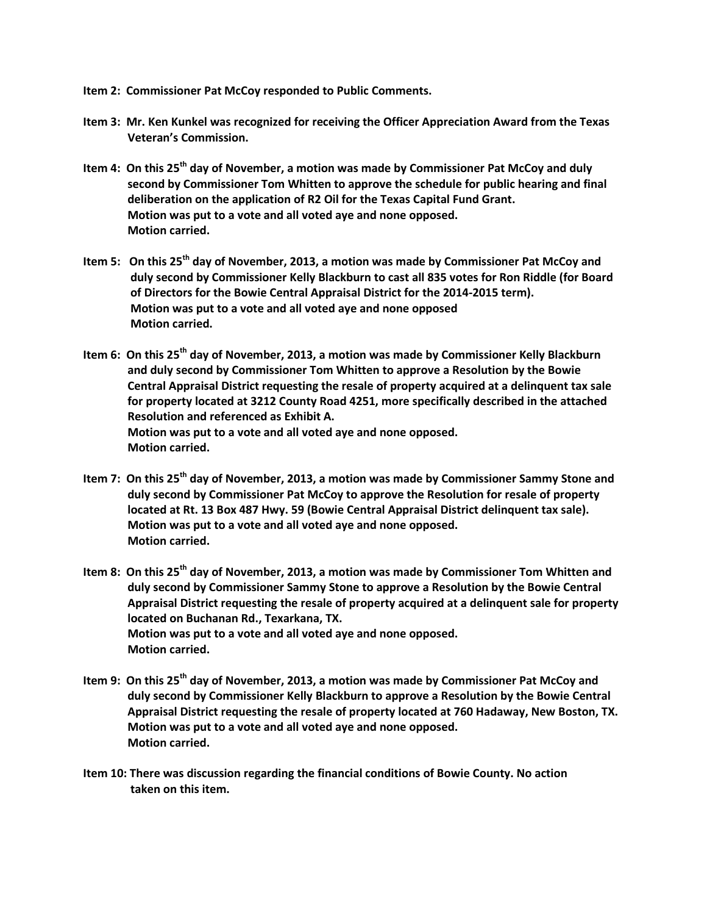- **Item 2: Commissioner Pat McCoy responded to Public Comments.**
- **Item 3: Mr. Ken Kunkel was recognized for receiving the Officer Appreciation Award from the Texas Veteran's Commission.**
- **Item 4: On this 25th day of November, a motion was made by Commissioner Pat McCoy and duly second by Commissioner Tom Whitten to approve the schedule for public hearing and final deliberation on the application of R2 Oil for the Texas Capital Fund Grant. Motion was put to a vote and all voted aye and none opposed. Motion carried.**
- **Item 5: On this 25th day of November, 2013, a motion was made by Commissioner Pat McCoy and duly second by Commissioner Kelly Blackburn to cast all 835 votes for Ron Riddle (for Board of Directors for the Bowie Central Appraisal District for the 2014-2015 term). Motion was put to a vote and all voted aye and none opposed Motion carried.**
- **Item 6: On this 25th day of November, 2013, a motion was made by Commissioner Kelly Blackburn and duly second by Commissioner Tom Whitten to approve a Resolution by the Bowie Central Appraisal District requesting the resale of property acquired at a delinquent tax sale for property located at 3212 County Road 4251, more specifically described in the attached Resolution and referenced as Exhibit A. Motion was put to a vote and all voted aye and none opposed. Motion carried.**
- **Item 7: On this 25th day of November, 2013, a motion was made by Commissioner Sammy Stone and duly second by Commissioner Pat McCoy to approve the Resolution for resale of property located at Rt. 13 Box 487 Hwy. 59 (Bowie Central Appraisal District delinquent tax sale). Motion was put to a vote and all voted aye and none opposed. Motion carried.**
- **Item 8: On this 25th day of November, 2013, a motion was made by Commissioner Tom Whitten and duly second by Commissioner Sammy Stone to approve a Resolution by the Bowie Central Appraisal District requesting the resale of property acquired at a delinquent sale for property located on Buchanan Rd., Texarkana, TX. Motion was put to a vote and all voted aye and none opposed. Motion carried.**
- **Item 9: On this 25th day of November, 2013, a motion was made by Commissioner Pat McCoy and duly second by Commissioner Kelly Blackburn to approve a Resolution by the Bowie Central Appraisal District requesting the resale of property located at 760 Hadaway, New Boston, TX. Motion was put to a vote and all voted aye and none opposed. Motion carried.**
- **Item 10: There was discussion regarding the financial conditions of Bowie County. No action taken on this item.**